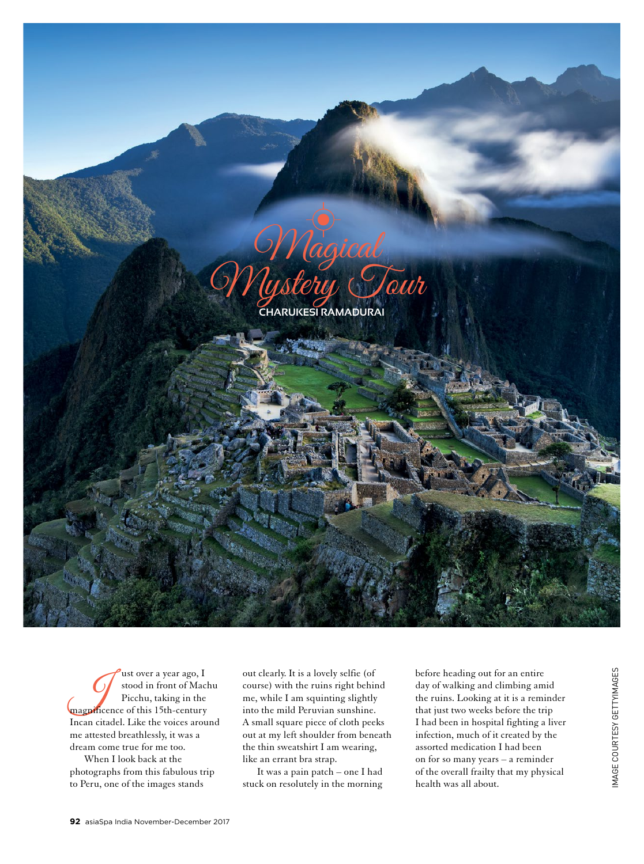

It over a year ago, I<br>
Stood in front of Macl<br>
Picchu, taking in the<br>
magnificence of this 15th-century stood in front of Machu Picchu, taking in the Incan citadel. Like the voices around me attested breathlessly, it was a dream come true for me too.

When I look back at the photographs from this fabulous trip to Peru, one of the images stands

out clearly. It is a lovely selfie (of course) with the ruins right behind me, while I am squinting slightly into the mild Peruvian sunshine. A small square piece of cloth peeks out at my left shoulder from beneath the thin sweatshirt I am wearing, like an errant bra strap.

It was a pain patch – one I had stuck on resolutely in the morning before heading out for an entire day of walking and climbing amid the ruins. Looking at it is a reminder that just two weeks before the trip I had been in hospital fighting a liver infection, much of it created by the assorted medication I had been on for so many years – a reminder of the overall frailty that my physical health was all about.